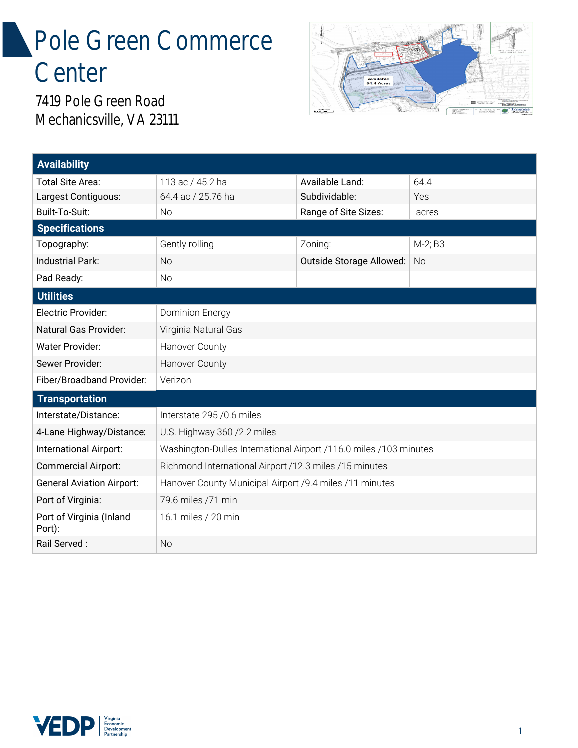## Pole Green Commerce **Center**



7419 Pole Green Road Mechanicsville, VA 23111

| <b>Availability</b>                |                                                                   |                          |           |
|------------------------------------|-------------------------------------------------------------------|--------------------------|-----------|
| Total Site Area:                   | 113 ac / 45.2 ha                                                  | Available Land:          | 64.4      |
| Largest Contiguous:                | 64.4 ac / 25.76 ha                                                | Subdividable:            | Yes       |
| Built-To-Suit:                     | <b>No</b>                                                         | Range of Site Sizes:     | acres     |
| <b>Specifications</b>              |                                                                   |                          |           |
| Topography:                        | Gently rolling                                                    | Zoning:                  | M-2; B3   |
| Industrial Park:                   | <b>No</b>                                                         | Outside Storage Allowed: | <b>No</b> |
| Pad Ready:                         | <b>No</b>                                                         |                          |           |
| <b>Utilities</b>                   |                                                                   |                          |           |
| Electric Provider:                 | Dominion Energy                                                   |                          |           |
| Natural Gas Provider:              | Virginia Natural Gas                                              |                          |           |
| <b>Water Provider:</b>             | Hanover County                                                    |                          |           |
| Sewer Provider:                    | Hanover County                                                    |                          |           |
| Fiber/Broadband Provider:          | Verizon                                                           |                          |           |
| <b>Transportation</b>              |                                                                   |                          |           |
| Interstate/Distance:               | Interstate 295 / 0.6 miles                                        |                          |           |
| 4-Lane Highway/Distance:           | U.S. Highway 360 /2.2 miles                                       |                          |           |
| International Airport:             | Washington-Dulles International Airport /116.0 miles /103 minutes |                          |           |
| <b>Commercial Airport:</b>         | Richmond International Airport /12.3 miles /15 minutes            |                          |           |
| <b>General Aviation Airport:</b>   | Hanover County Municipal Airport /9.4 miles /11 minutes           |                          |           |
| Port of Virginia:                  | 79.6 miles /71 min                                                |                          |           |
| Port of Virginia (Inland<br>Port): | 16.1 miles / 20 min                                               |                          |           |
| Rail Served:                       | <b>No</b>                                                         |                          |           |